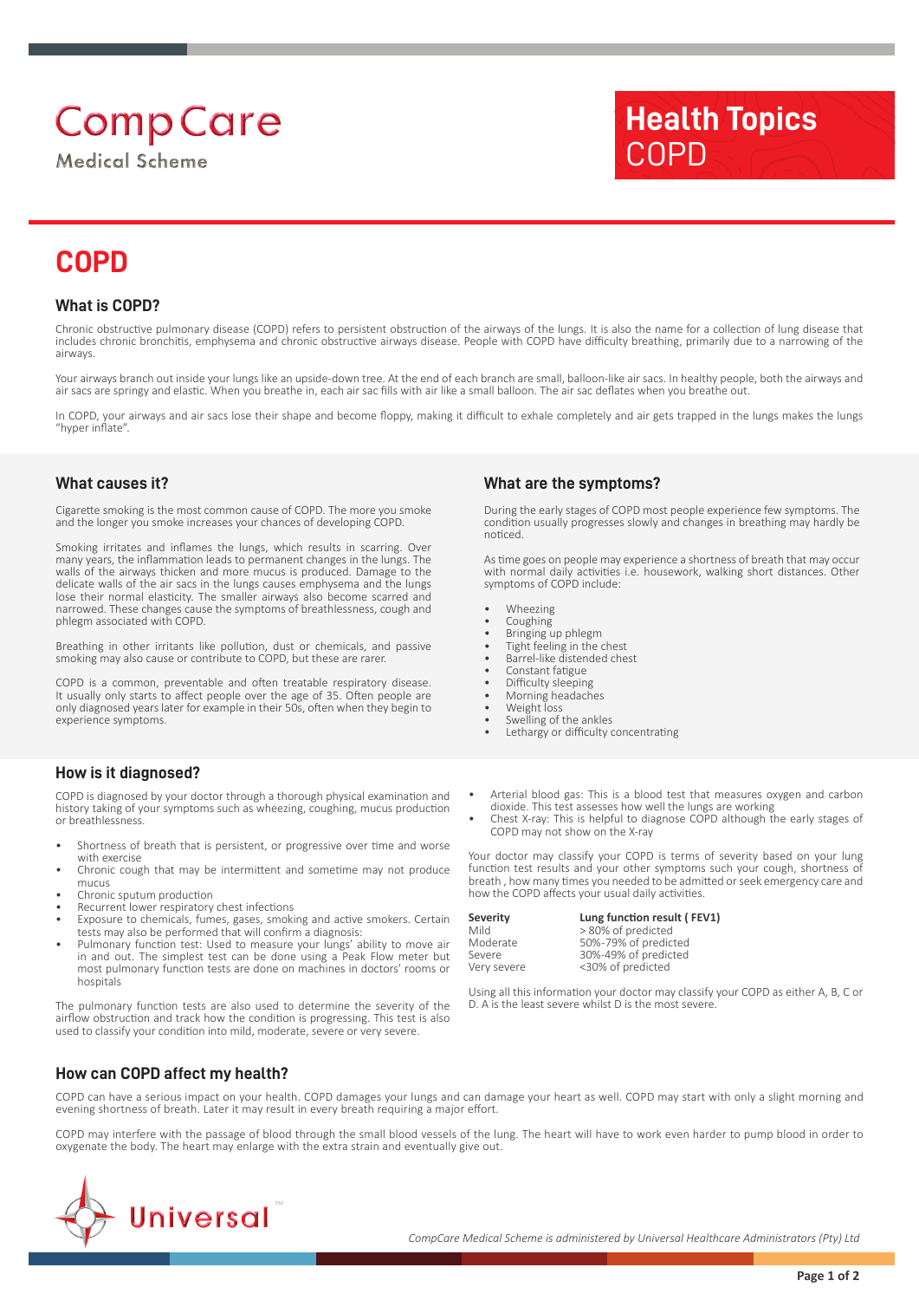# **Comp Care**

**Medical Scheme** 

## **Health Topics COPD**

### **COPD**

#### **What is COPD?**

Chronic obstructive pulmonary disease (COPD) refers to persistent obstruction of the airways of the lungs. It is also the name for a collection of lung disease that includes chronic bronchitis, emphysema and chronic obstructive airways disease. People with COPD have difficulty breathing, primarily due to a narrowing of the airways.

Your airways branch out inside your lungs like an upside-down tree. At the end of each branch are small, balloon-like air sacs. In healthy people, both the airways and air sacs are springy and elastic. When you breathe in, each air sac fills with air like a small balloon. The air sac deflates when you breathe out.

In COPD, your airways and air sacs lose their shape and become floppy, making it difficult to exhale completely and air gets trapped in the lungs makes the lungs "hyper inflate".

#### **What causes it?**

Cigarette smoking is the most common cause of COPD. The more you smoke and the longer you smoke increases your chances of developing COPD.

Smoking irritates and inflames the lungs, which results in scarring. Over many years, the inflammation leads to permanent changes in the lungs. The walls of the airways thicken and more mucus is produced. Damage to the delicate walls of the air sacs in the lungs causes emphysema and the lungs lose their normal elasticity. The smaller airways also become scarred and narrowed. These changes cause the symptoms of breathlessness, cough and phlegm associated with COPD.

Breathing in other irritants like pollution, dust or chemicals, and passive smoking may also cause or contribute to COPD, but these are rarer.

COPD is a common, preventable and often treatable respiratory disease. It usually only starts to affect people over the age of 35. Often people are only diagnosed years later for example in their 50s, often when they begin to experience symptoms.

#### **What are the symptoms?**

During the early stages of COPD most people experience few symptoms. The condition usually progresses slowly and changes in breathing may hardly be noticed.

As time goes on people may experience a shortness of breath that may occur with normal daily activities i.e. housework, walking short distances. Other symptoms of COPD include:

- **Wheezing**
- Coughing
- Bringing up phlegm
- Tight feeling in the chest • Barrel-like distended chest
- Constant fatigue
- Difficulty sleeping
- Morning headaches
- Weight loss
- Swelling of the ankles
- Lethargy or difficulty concentrating

#### **How is it diagnosed?**

COPD is diagnosed by your doctor through a thorough physical examination and history taking of your symptoms such as wheezing, coughing, mucus production or breathlessness.

- Shortness of breath that is persistent, or progressive over time and worse with exercise
- Chronic cough that may be intermittent and sometime may not produce mucus
- Chronic sputum production
- Recurrent lower respiratory chest infections
- Exposure to chemicals, fumes, gases, smoking and active smokers. Certain tests may also be performed that will confirm a diagnosis:
- Pulmonary function test: Used to measure your lungs' ability to move air in and out. The simplest test can be done using a Peak Flow meter but most pulmonary function tests are done on machines in doctors' rooms or hospitals

The pulmonary function tests are also used to determine the severity of the airflow obstruction and track how the condition is progressing. This test is also used to classify your condition into mild, moderate, severe or very severe.

- Arterial blood gas: This is a blood test that measures oxygen and carbon dioxide. This test assesses how well the lungs are working
- Chest X-ray: This is helpful to diagnose COPD although the early stages of COPD may not show on the X-ray

Your doctor may classify your COPD is terms of severity based on your lung function test results and your other symptoms such your cough, shortness of breath , how many times you needed to be admitted or seek emergency care and how the COPD affects your usual daily activities.

| <b>Severity</b> | Lung function result (FEV1) |
|-----------------|-----------------------------|
| Mild            | > 80% of predicted          |
| Moderate        | 50%-79% of predicted        |
| Severe          | 30%-49% of predicted        |
| Very severe     | <30% of predicted           |
|                 |                             |

Using all this information your doctor may classify your COPD as either A, B, C or D. A is the least severe whilst D is the most severe.

#### **How can COPD affect my health?**

COPD can have a serious impact on your health. COPD damages your lungs and can damage your heart as well. COPD may start with only a slight morning and evening shortness of breath. Later it may result in every breath requiring a major effort.

COPD may interfere with the passage of blood through the small blood vessels of the lung. The heart will have to work even harder to pump blood in order to oxygenate the body. The heart may enlarge with the extra strain and eventually give out.